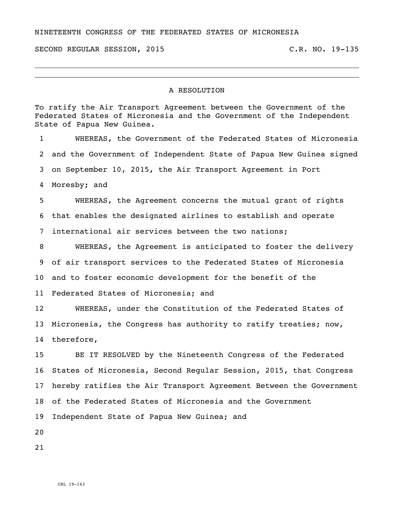## NINETEENTH CONGRESS OF THE FEDERATED STATES OF MICRONESIA

SECOND REGULAR SESSION, 2015 C.R. NO. 19-135

## A RESOLUTION

To ratify the Air Transport Agreement between the Government of the Federated States of Micronesia and the Government of the Independent State of Papua New Guinea.

 WHEREAS, the Government of the Federated States of Micronesia and the Government of Independent State of Papua New Guinea signed on September 10, 2015, the Air Transport Agreement in Port Moresby; and WHEREAS, the Agreement concerns the mutual grant of rights that enables the designated airlines to establish and operate international air services between the two nations; WHEREAS, the Agreement is anticipated to foster the delivery of air transport services to the Federated States of Micronesia and to foster economic development for the benefit of the Federated States of Micronesia; and WHEREAS, under the Constitution of the Federated States of

 Micronesia, the Congress has authority to ratify treaties; now, therefore,

 BE IT RESOLVED by the Nineteenth Congress of the Federated States of Micronesia, Second Regular Session, 2015, that Congress hereby ratifies the Air Transport Agreement Between the Government of the Federated States of Micronesia and the Government Independent State of Papua New Guinea; and